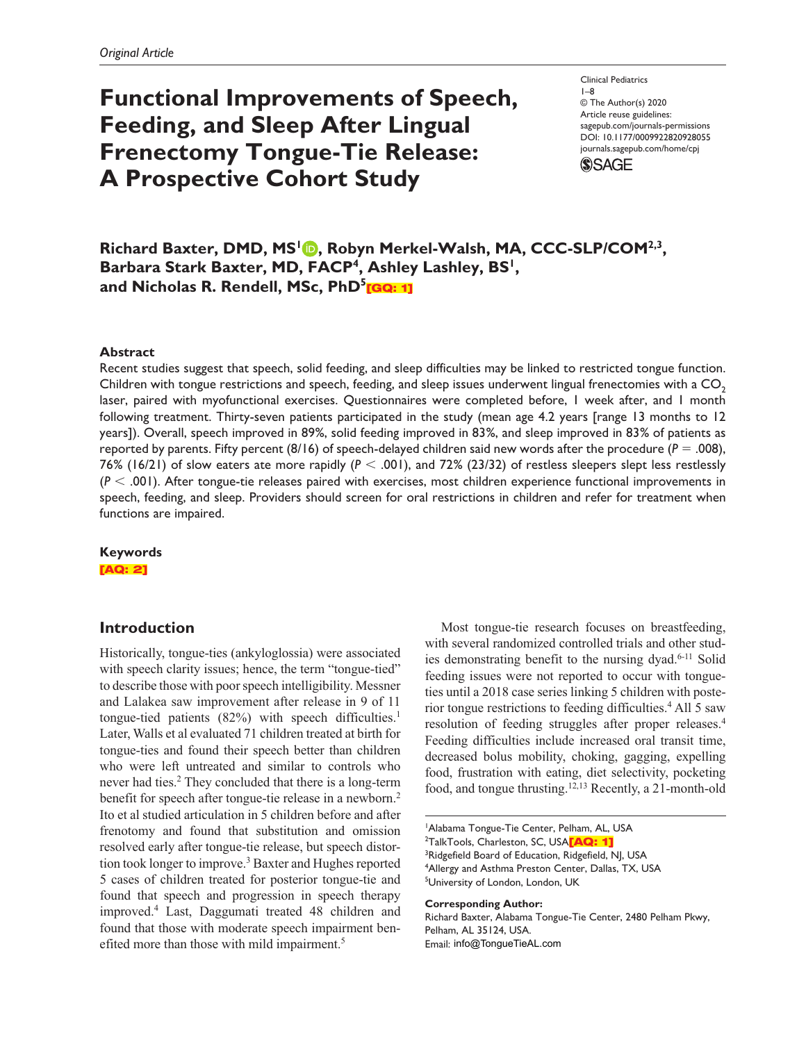# **Functional Improvements of Speech, Feeding, and Sleep After Lingual Frenectomy Tongue-Tie Release: A Prospective Cohort Study**

DOI: 10.1177/0009922820928055 Clinical Pediatrics 1–8 © The Author(s) 2020 Article reuse guidelines: sagepub.com/journals-permissions journals.sagepub.com/home/cpj



Richard Baxter, DMD, MS<sup>1</sup> **D**, Robyn Merkel-Walsh, MA, CCC-SLP/COM<sup>2,3</sup>, Barbara Stark Baxter, MD, FACP<sup>4</sup>, Ashley Lashley, BS<sup>1</sup>, and Nicholas R. Rendell, MSc, PhD<sup>5</sup>[GQ: 1]

## **Abstract**

Recent studies suggest that speech, solid feeding, and sleep difficulties may be linked to restricted tongue function. Children with tongue restrictions and speech, feeding, and sleep issues underwent lingual frenectomies with a  $CO<sub>2</sub>$ laser, paired with myofunctional exercises. Questionnaires were completed before, 1 week after, and 1 month following treatment. Thirty-seven patients participated in the study (mean age 4.2 years [range 13 months to 12 years]). Overall, speech improved in 89%, solid feeding improved in 83%, and sleep improved in 83% of patients as reported by parents. Fifty percent (8/16) of speech-delayed children said new words after the procedure (*P* = .008), 76% (16/21) of slow eaters ate more rapidly (*P* < .001), and 72% (23/32) of restless sleepers slept less restlessly (*P* < .001). After tongue-tie releases paired with exercises, most children experience functional improvements in speech, feeding, and sleep. Providers should screen for oral restrictions in children and refer for treatment when functions are impaired.

## **Keywords** [AQ: 2]

# **Introduction**

Historically, tongue-ties (ankyloglossia) were associated with speech clarity issues; hence, the term "tongue-tied" to describe those with poor speech intelligibility. Messner and Lalakea saw improvement after release in 9 of 11 tongue-tied patients  $(82%)$  with speech difficulties.<sup>1</sup> Later, Walls et al evaluated 71 children treated at birth for tongue-ties and found their speech better than children who were left untreated and similar to controls who never had ties.<sup>2</sup> They concluded that there is a long-term benefit for speech after tongue-tie release in a newborn.<sup>2</sup> Ito et al studied articulation in 5 children before and after frenotomy and found that substitution and omission resolved early after tongue-tie release, but speech distortion took longer to improve.<sup>3</sup> Baxter and Hughes reported 5 cases of children treated for posterior tongue-tie and found that speech and progression in speech therapy improved.4 Last, Daggumati treated 48 children and found that those with moderate speech impairment benefited more than those with mild impairment.<sup>5</sup>

Most tongue-tie research focuses on breastfeeding, with several randomized controlled trials and other studies demonstrating benefit to the nursing dyad.<sup>6-11</sup> Solid feeding issues were not reported to occur with tongueties until a 2018 case series linking 5 children with posterior tongue restrictions to feeding difficulties.<sup>4</sup> All 5 saw resolution of feeding struggles after proper releases.<sup>4</sup> Feeding difficulties include increased oral transit time, decreased bolus mobility, choking, gagging, expelling food, frustration with eating, diet selectivity, pocketing food, and tongue thrusting.12,13 Recently, a 21-month-old

1 Alabama Tongue-Tie Center, Pelham, AL, USA

<sup>2</sup>TalkTools, Charleston, SC, USA<mark>[AQ: 1]</mark>

<sup>3</sup>Ridgefield Board of Education, Ridgefield, NJ, USA 4 Allergy and Asthma Preston Center, Dallas, TX, USA 5 University of London, London, UK

#### **Corresponding Author:**

Richard Baxter, Alabama Tongue-Tie Center, 2480 Pelham Pkwy, Pelham, AL 35124, USA. Email: info@TongueTieAL.com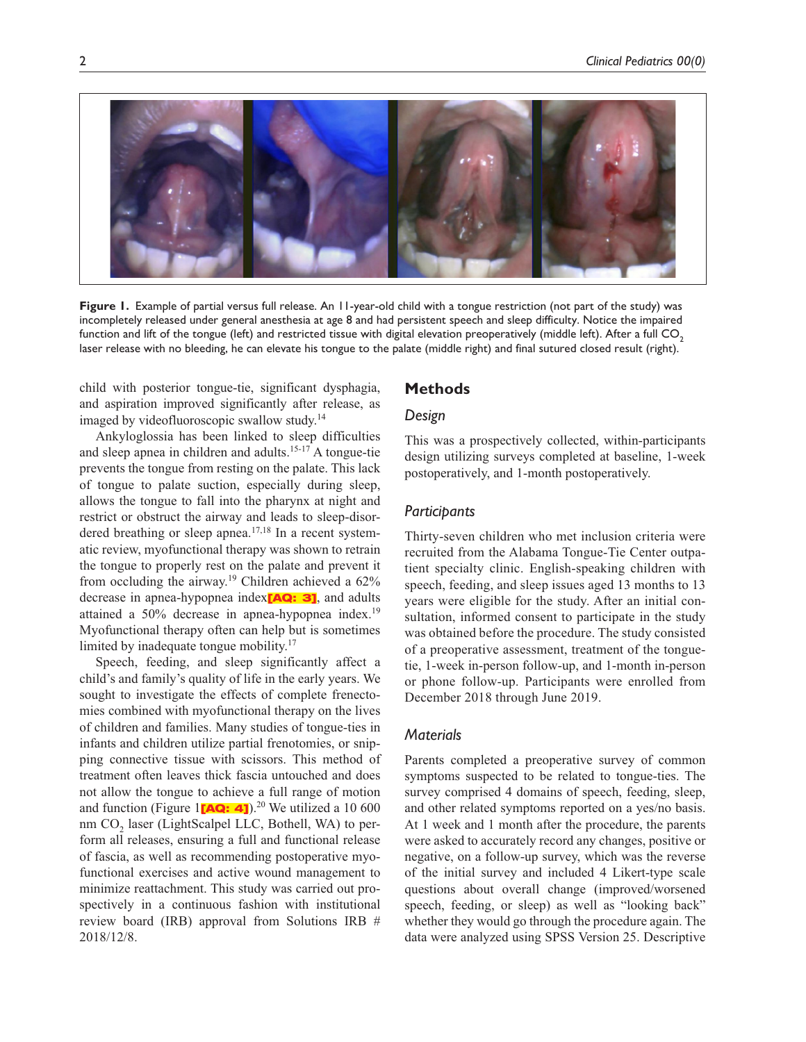

**Figure 1.** Example of partial versus full release. An 11-year-old child with a tongue restriction (not part of the study) was incompletely released under general anesthesia at age 8 and had persistent speech and sleep difficulty. Notice the impaired function and lift of the tongue (left) and restricted tissue with digital elevation preoperatively (middle left). After a full CO<sub>2</sub> laser release with no bleeding, he can elevate his tongue to the palate (middle right) and final sutured closed result (right).

child with posterior tongue-tie, significant dysphagia, and aspiration improved significantly after release, as imaged by videofluoroscopic swallow study.14

Ankyloglossia has been linked to sleep difficulties and sleep apnea in children and adults.15-17 A tongue-tie prevents the tongue from resting on the palate. This lack of tongue to palate suction, especially during sleep, allows the tongue to fall into the pharynx at night and restrict or obstruct the airway and leads to sleep-disordered breathing or sleep apnea.<sup>17,18</sup> In a recent systematic review, myofunctional therapy was shown to retrain the tongue to properly rest on the palate and prevent it from occluding the airway.<sup>19</sup> Children achieved a  $62\%$ decrease in apnea-hypopnea index<sup>[AQ: 3]</sup>, and adults attained a 50% decrease in apnea-hypopnea index.<sup>19</sup> Myofunctional therapy often can help but is sometimes limited by inadequate tongue mobility.<sup>17</sup>

Speech, feeding, and sleep significantly affect a child's and family's quality of life in the early years. We sought to investigate the effects of complete frenectomies combined with myofunctional therapy on the lives of children and families. Many studies of tongue-ties in infants and children utilize partial frenotomies, or snipping connective tissue with scissors. This method of treatment often leaves thick fascia untouched and does not allow the tongue to achieve a full range of motion and function (Figure 1 $[AQ: 4]$ ).<sup>20</sup> We utilized a 10 600 nm CO<sub>2</sub> laser (LightScalpel LLC, Bothell, WA) to perform all releases, ensuring a full and functional release of fascia, as well as recommending postoperative myofunctional exercises and active wound management to minimize reattachment. This study was carried out prospectively in a continuous fashion with institutional review board (IRB) approval from Solutions IRB # 2018/12/8.

## **Methods**

## *Design*

This was a prospectively collected, within-participants design utilizing surveys completed at baseline, 1-week postoperatively, and 1-month postoperatively.

## *Participants*

Thirty-seven children who met inclusion criteria were recruited from the Alabama Tongue-Tie Center outpatient specialty clinic. English-speaking children with speech, feeding, and sleep issues aged 13 months to 13 years were eligible for the study. After an initial consultation, informed consent to participate in the study was obtained before the procedure. The study consisted of a preoperative assessment, treatment of the tonguetie, 1-week in-person follow-up, and 1-month in-person or phone follow-up. Participants were enrolled from December 2018 through June 2019.

## *Materials*

Parents completed a preoperative survey of common symptoms suspected to be related to tongue-ties. The survey comprised 4 domains of speech, feeding, sleep, and other related symptoms reported on a yes/no basis. At 1 week and 1 month after the procedure, the parents were asked to accurately record any changes, positive or negative, on a follow-up survey, which was the reverse of the initial survey and included 4 Likert-type scale questions about overall change (improved/worsened speech, feeding, or sleep) as well as "looking back" whether they would go through the procedure again. The data were analyzed using SPSS Version 25. Descriptive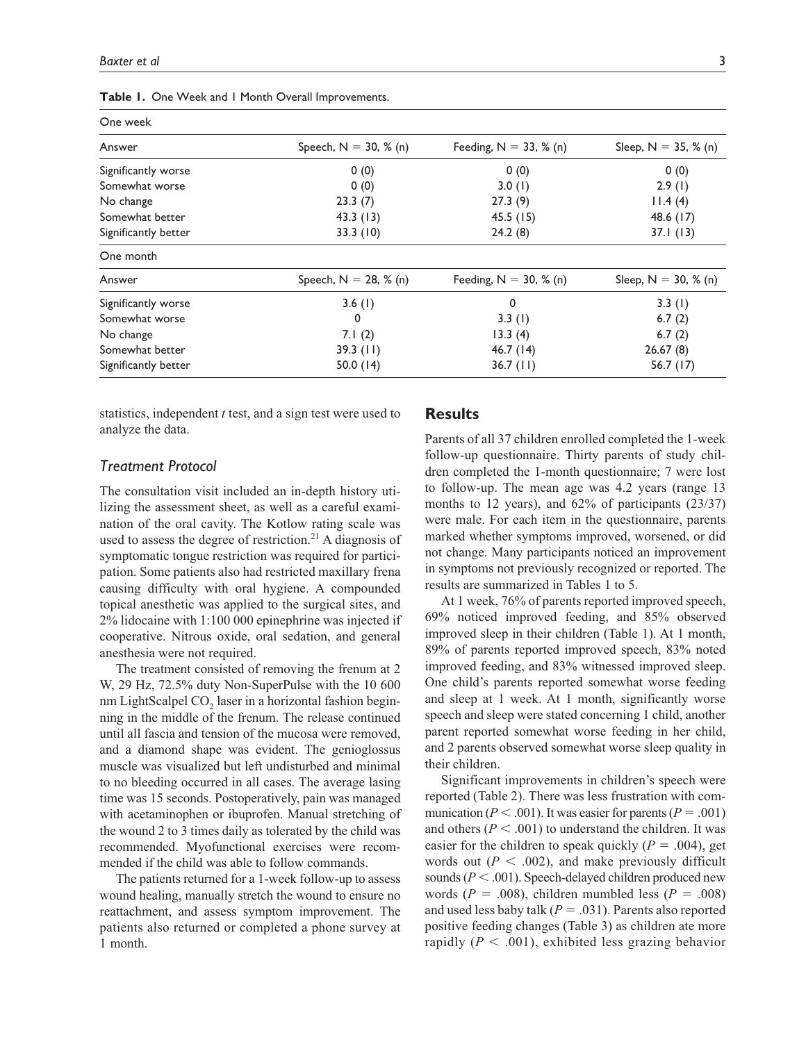| One week             |                          |                           |                        |
|----------------------|--------------------------|---------------------------|------------------------|
| Answer               | Speech, $N = 30, % (n)$  | Feeding, $N = 33$ , % (n) | Sleep, $N = 35, % (n)$ |
| Significantly worse  | 0(0)                     | 0(0)                      | 0(0)                   |
| Somewhat worse       | 0(0)                     | 3.0(1)                    | 2.9(1)                 |
| No change            | 23.3(7)                  | 27.3(9)                   | 11.4(4)                |
| Somewhat better      | 43.3(13)                 | 45.5(15)                  | 48.6 (17)              |
| Significantly better | 33.3(10)                 | 24.2(8)                   | 37.1(13)               |
| One month            |                          |                           |                        |
| Answer               | Speech, $N = 28$ , % (n) | Feeding, $N = 30$ , % (n) | Sleep, $N = 30, % (n)$ |
| Significantly worse  | 3.6(1)                   | $\mathbf 0$               | 3.3(1)                 |
| Somewhat worse       | 0                        | 3.3(1)                    | 6.7(2)                 |
| No change            | 7.1(2)                   | 13.3(4)                   | 6.7(2)                 |
| Somewhat better      | 39.3(11)                 | 46.7(14)                  | 26.67(8)               |
| Significantly better | 50.0 $(14)$              | $36.7$ (11)               | 56.7 (17)              |

**Table 1.** One Week and 1 Month Overall Improvements.

statistics, independent *t* test, and a sign test were used to analyze the data.

## *Treatment Protocol*

The consultation visit included an in-depth history utilizing the assessment sheet, as well as a careful examination of the oral cavity. The Kotlow rating scale was used to assess the degree of restriction.<sup>21</sup> A diagnosis of symptomatic tongue restriction was required for participation. Some patients also had restricted maxillary frena causing difficulty with oral hygiene. A compounded topical anesthetic was applied to the surgical sites, and 2% lidocaine with 1:100 000 epinephrine was injected if cooperative. Nitrous oxide, oral sedation, and general anesthesia were not required.

The treatment consisted of removing the frenum at 2 W, 29 Hz, 72.5% duty Non-SuperPulse with the 10 600 nm LightScalpel CO<sub>2</sub> laser in a horizontal fashion beginning in the middle of the frenum. The release continued until all fascia and tension of the mucosa were removed, and a diamond shape was evident. The genioglossus muscle was visualized but left undisturbed and minimal to no bleeding occurred in all cases. The average lasing time was 15 seconds. Postoperatively, pain was managed with acetaminophen or ibuprofen. Manual stretching of the wound 2 to 3 times daily as tolerated by the child was recommended. Myofunctional exercises were recommended if the child was able to follow commands.

The patients returned for a 1-week follow-up to assess wound healing, manually stretch the wound to ensure no reattachment, and assess symptom improvement. The patients also returned or completed a phone survey at 1 month.

## **Results**

Parents of all 37 children enrolled completed the 1-week follow-up questionnaire. Thirty parents of study children completed the 1-month questionnaire; 7 were lost to follow-up. The mean age was 4.2 years (range 13 months to 12 years), and 62% of participants (23/37) were male. For each item in the questionnaire, parents marked whether symptoms improved, worsened, or did not change. Many participants noticed an improvement in symptoms not previously recognized or reported. The results are summarized in Tables 1 to 5.

At 1 week, 76% of parents reported improved speech, 69% noticed improved feeding, and 85% observed improved sleep in their children (Table 1). At 1 month, 89% of parents reported improved speech, 83% noted improved feeding, and 83% witnessed improved sleep. One child's parents reported somewhat worse feeding and sleep at 1 week. At 1 month, significantly worse speech and sleep were stated concerning 1 child, another parent reported somewhat worse feeding in her child, and 2 parents observed somewhat worse sleep quality in their children.

Significant improvements in children's speech were reported (Table 2). There was less frustration with communication ( $P < .001$ ). It was easier for parents ( $P = .001$ ) and others ( $P < .001$ ) to understand the children. It was easier for the children to speak quickly  $(P = .004)$ , get words out  $(P < .002)$ , and make previously difficult sounds ( $P < .001$ ). Speech-delayed children produced new words ( $P = .008$ ), children mumbled less ( $P = .008$ ) and used less baby talk (*P* = .031). Parents also reported positive feeding changes (Table 3) as children ate more rapidly  $(P < .001)$ , exhibited less grazing behavior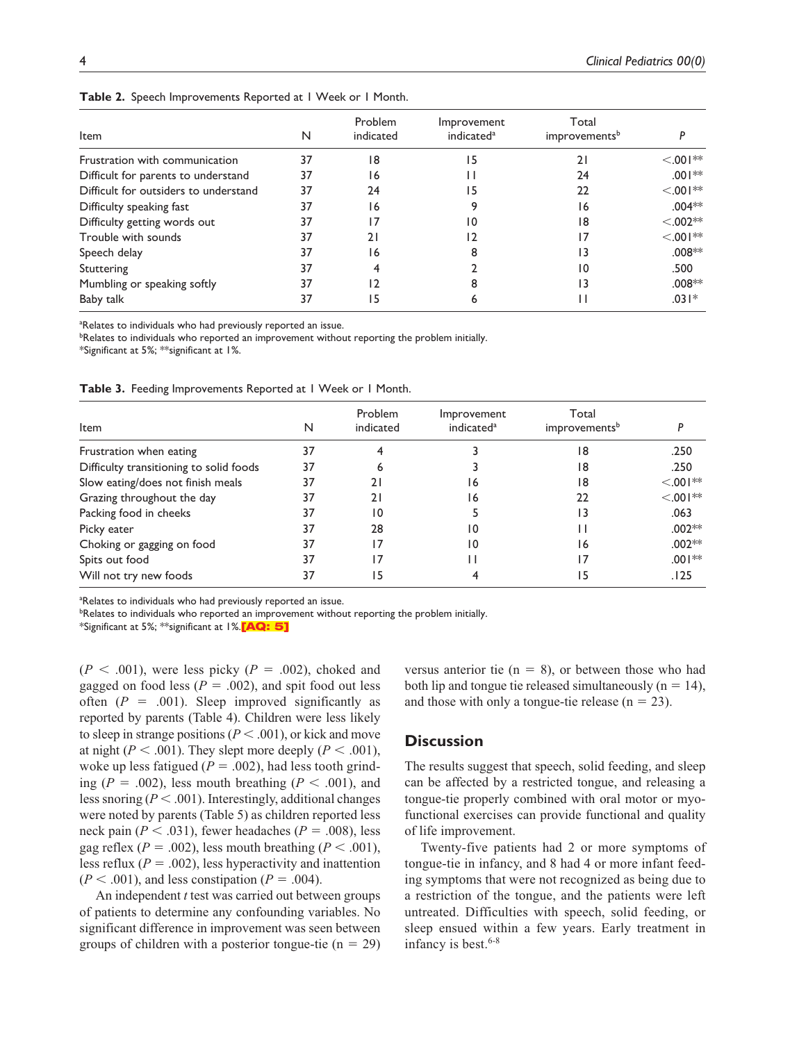| Item                                  | N  | Problem<br>indicated | Improvement<br>indicated <sup>a</sup> | Total<br>improvements <sup>b</sup> |             |
|---------------------------------------|----|----------------------|---------------------------------------|------------------------------------|-------------|
| Frustration with communication        | 37 | 18                   | 15                                    | 21                                 | $< 0.01**$  |
| Difficult for parents to understand   | 37 | 16                   |                                       | 24                                 | $.001**$    |
| Difficult for outsiders to understand | 37 | 24                   | ۱5                                    | 22                                 | $< 0.01**$  |
| Difficulty speaking fast              | 37 | 16                   |                                       | 16                                 | $.004**$    |
| Difficulty getting words out          | 37 | 17                   | 10                                    | 18                                 | $< 0.002**$ |
| Trouble with sounds                   | 37 | 21                   | 12                                    | 17                                 | $< 0.01**$  |
| Speech delay                          | 37 | 16                   | 8                                     | 13                                 | $.008**$    |
| Stuttering                            | 37 | 4                    |                                       | 10                                 | .500        |
| Mumbling or speaking softly           | 37 | 12                   | 8                                     | 13                                 | $.008**$    |
| Baby talk                             | 37 | 15                   | O                                     |                                    | $.031*$     |

**Table 2.** Speech Improvements Reported at 1 Week or 1 Month.

<sup>a</sup>Relates to individuals who had previously reported an issue.

<sup>b</sup>Relates to individuals who reported an improvement without reporting the problem initially.

\*Significant at 5%; \*\*significant at 1%.

**Table 3.** Feeding Improvements Reported at 1 Week or 1 Month.

| Item                                    | N  | Problem<br>indicated | Improvement<br>indicated <sup>a</sup> | Total<br>improvements <sup>b</sup> |            |
|-----------------------------------------|----|----------------------|---------------------------------------|------------------------------------|------------|
| Frustration when eating                 | 37 |                      |                                       | 18                                 | .250       |
| Difficulty transitioning to solid foods | 37 | 6                    |                                       | 18                                 | .250       |
| Slow eating/does not finish meals       | 37 | 21                   | 16                                    | 18                                 | $< 0.01**$ |
| Grazing throughout the day              | 37 | 21                   | 16                                    | 22                                 | $< 0.01**$ |
| Packing food in cheeks                  | 37 | 10                   |                                       | 13                                 | .063       |
| Picky eater                             | 37 | 28                   | 10                                    | Н                                  | $.002**$   |
| Choking or gagging on food              | 37 | 17                   | 10                                    | 16                                 | $.002**$   |
| Spits out food                          | 37 | 17                   |                                       | 17                                 | $.001**$   |
| Will not try new foods                  | 37 | 15                   |                                       | 15                                 | .125       |

<sup>a</sup>Relates to individuals who had previously reported an issue.

**<sup>b</sup>Relates to individuals who reported an improvement without reporting the problem initially.** 

\*Significant at 5%; \*\*significant at 1%.<sup>[AQ: 5]</sup>

 $(P < .001)$ , were less picky  $(P = .002)$ , choked and gagged on food less ( $P = .002$ ), and spit food out less often  $(P = .001)$ . Sleep improved significantly as reported by parents (Table 4). Children were less likely to sleep in strange positions ( $P < .001$ ), or kick and move at night ( $P < .001$ ). They slept more deeply ( $P < .001$ ), woke up less fatigued ( $P = .002$ ), had less tooth grinding ( $P = .002$ ), less mouth breathing ( $P < .001$ ), and less snoring (*P* < .001). Interestingly, additional changes were noted by parents (Table 5) as children reported less neck pain ( $P < .031$ ), fewer headaches ( $P = .008$ ), less gag reflex ( $P = .002$ ), less mouth breathing ( $P < .001$ ), less reflux  $(P = .002)$ , less hyperactivity and inattention  $(P < .001)$ , and less constipation  $(P = .004)$ .

An independent *t* test was carried out between groups of patients to determine any confounding variables. No significant difference in improvement was seen between groups of children with a posterior tongue-tie  $(n = 29)$ 

versus anterior tie  $(n = 8)$ , or between those who had both lip and tongue tie released simultaneously  $(n = 14)$ , and those with only a tongue-tie release  $(n = 23)$ .

## **Discussion**

The results suggest that speech, solid feeding, and sleep can be affected by a restricted tongue, and releasing a tongue-tie properly combined with oral motor or myofunctional exercises can provide functional and quality of life improvement.

Twenty-five patients had 2 or more symptoms of tongue-tie in infancy, and 8 had 4 or more infant feeding symptoms that were not recognized as being due to a restriction of the tongue, and the patients were left untreated. Difficulties with speech, solid feeding, or sleep ensued within a few years. Early treatment in infancy is best. $6-8$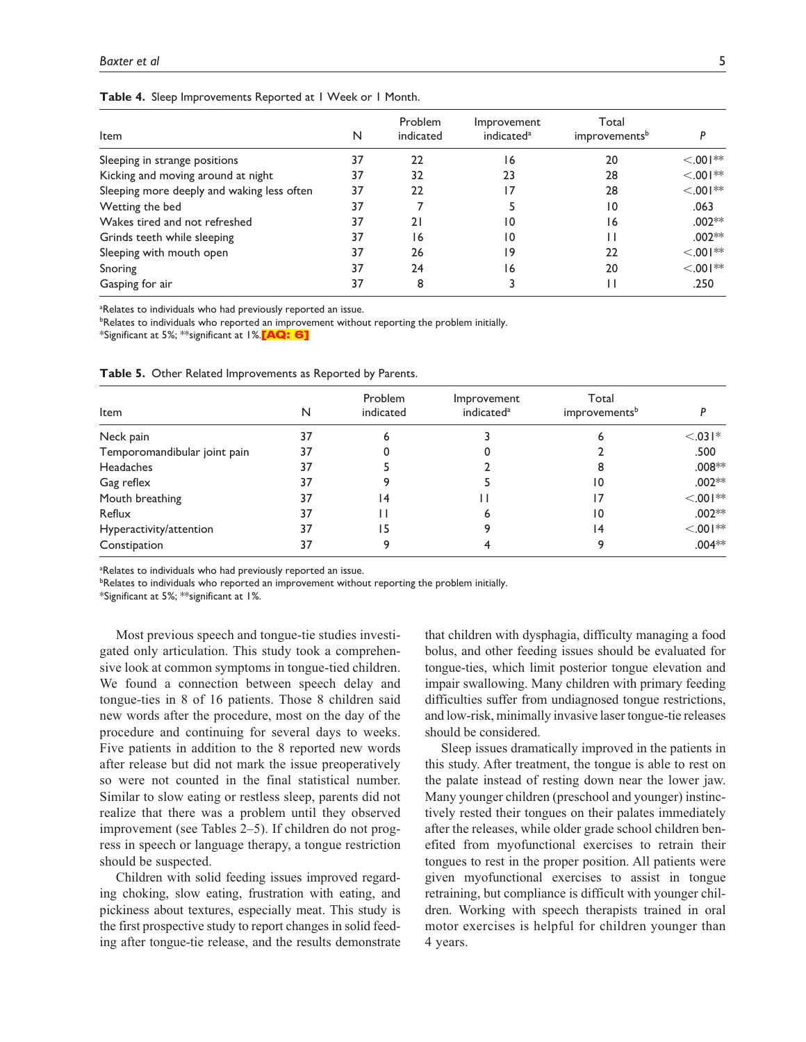| <b>Item</b>                                | N  | Problem<br>indicated | Improvement<br>indicated <sup>a</sup> | Total<br>improvements <sup>b</sup> |            |
|--------------------------------------------|----|----------------------|---------------------------------------|------------------------------------|------------|
|                                            | 37 | 22                   |                                       | 20                                 | $< 0.01**$ |
| Sleeping in strange positions              |    |                      | 6                                     |                                    |            |
| Kicking and moving around at night         | 37 | 32                   | 23                                    | 28                                 | $< 0.01**$ |
| Sleeping more deeply and waking less often | 37 | 22                   |                                       | 28                                 | $< 0.01**$ |
| Wetting the bed                            | 37 |                      |                                       | 10                                 | .063       |
| Wakes tired and not refreshed              | 37 | 21                   | 10                                    | 16                                 | $.002**$   |
| Grinds teeth while sleeping                | 37 | 16                   | 10                                    |                                    | $.002**$   |
| Sleeping with mouth open                   | 37 | 26                   | 19                                    | 22                                 | $< 0.01**$ |
| Snoring                                    | 37 | 24                   | 6                                     | 20                                 | $< 0.01**$ |
| Gasping for air                            | 37 | 8                    |                                       |                                    | .250       |

#### **Table 4.** Sleep Improvements Reported at 1 Week or 1 Month.

<sup>a</sup>Relates to individuals who had previously reported an issue.

<sup>b</sup>Relates to individuals who reported an improvement without reporting the problem initially.

\*Significant at 5%; \*\*significant at 1%.<sup>[AQ: 6]</sup>

| Item                         | N  | Problem<br>indicated | Improvement<br>indicated <sup>a</sup> | Total<br>improvements <sup>b</sup> |            |
|------------------------------|----|----------------------|---------------------------------------|------------------------------------|------------|
| Neck pain                    | 37 |                      |                                       |                                    | $< .031*$  |
| Temporomandibular joint pain | 37 |                      |                                       |                                    | .500       |
| Headaches                    | 37 |                      |                                       |                                    | $.008**$   |
| Gag reflex                   | 37 |                      |                                       | 10                                 | $.002**$   |
| Mouth breathing              | 37 | 4                    |                                       |                                    | $< .001**$ |
| Reflux                       | 37 |                      |                                       | 10                                 | $.002**$   |
| Hyperactivity/attention      | 37 | 5                    |                                       | 14                                 | $< .001**$ |
| Constipation                 | 37 |                      |                                       |                                    | $.004**$   |

**Table 5.** Other Related Improvements as Reported by Parents.

<sup>a</sup>Relates to individuals who had previously reported an issue.

**<sup>b</sup>Relates to individuals who reported an improvement without reporting the problem initially.** 

\*Significant at 5%; \*\*significant at 1%.

Most previous speech and tongue-tie studies investigated only articulation. This study took a comprehensive look at common symptoms in tongue-tied children. We found a connection between speech delay and tongue-ties in 8 of 16 patients. Those 8 children said new words after the procedure, most on the day of the procedure and continuing for several days to weeks. Five patients in addition to the 8 reported new words after release but did not mark the issue preoperatively so were not counted in the final statistical number. Similar to slow eating or restless sleep, parents did not realize that there was a problem until they observed improvement (see Tables 2–5). If children do not progress in speech or language therapy, a tongue restriction should be suspected.

Children with solid feeding issues improved regarding choking, slow eating, frustration with eating, and pickiness about textures, especially meat. This study is the first prospective study to report changes in solid feeding after tongue-tie release, and the results demonstrate that children with dysphagia, difficulty managing a food bolus, and other feeding issues should be evaluated for tongue-ties, which limit posterior tongue elevation and impair swallowing. Many children with primary feeding difficulties suffer from undiagnosed tongue restrictions, and low-risk, minimally invasive laser tongue-tie releases should be considered.

Sleep issues dramatically improved in the patients in this study. After treatment, the tongue is able to rest on the palate instead of resting down near the lower jaw. Many younger children (preschool and younger) instinctively rested their tongues on their palates immediately after the releases, while older grade school children benefited from myofunctional exercises to retrain their tongues to rest in the proper position. All patients were given myofunctional exercises to assist in tongue retraining, but compliance is difficult with younger children. Working with speech therapists trained in oral motor exercises is helpful for children younger than 4 years.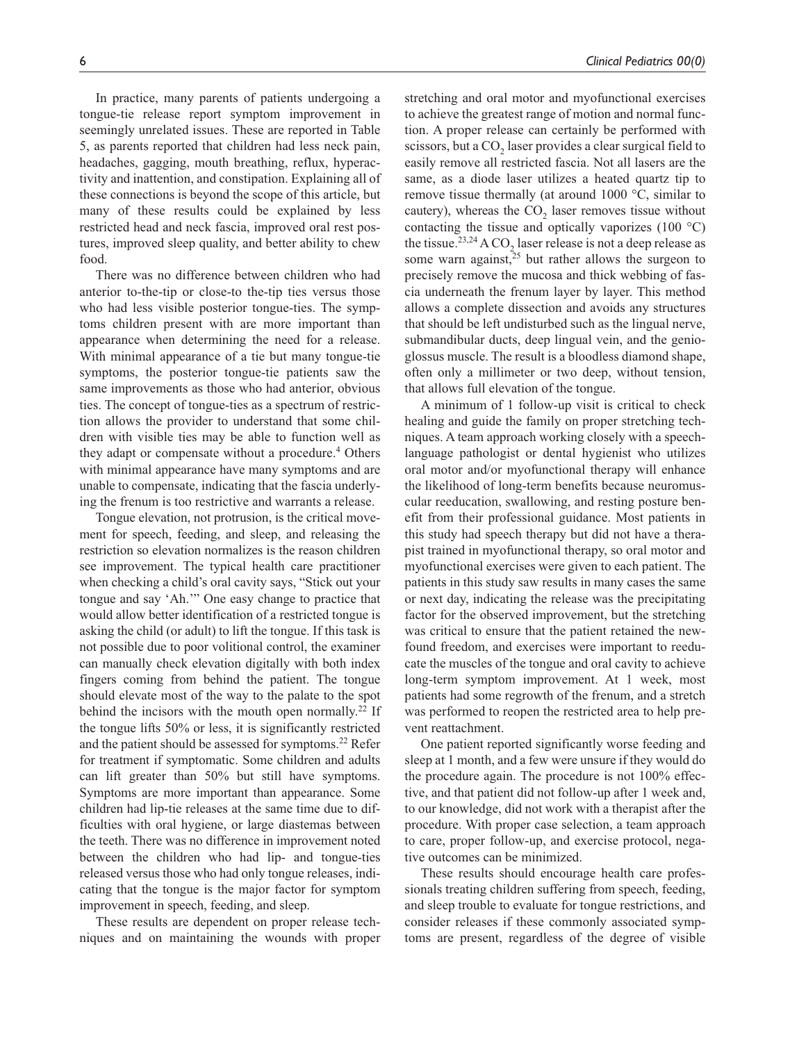In practice, many parents of patients undergoing a tongue-tie release report symptom improvement in seemingly unrelated issues. These are reported in Table 5, as parents reported that children had less neck pain, headaches, gagging, mouth breathing, reflux, hyperactivity and inattention, and constipation. Explaining all of these connections is beyond the scope of this article, but many of these results could be explained by less restricted head and neck fascia, improved oral rest postures, improved sleep quality, and better ability to chew food.

There was no difference between children who had anterior to-the-tip or close-to the-tip ties versus those who had less visible posterior tongue-ties. The symptoms children present with are more important than appearance when determining the need for a release. With minimal appearance of a tie but many tongue-tie symptoms, the posterior tongue-tie patients saw the same improvements as those who had anterior, obvious ties. The concept of tongue-ties as a spectrum of restriction allows the provider to understand that some children with visible ties may be able to function well as they adapt or compensate without a procedure.<sup>4</sup> Others with minimal appearance have many symptoms and are unable to compensate, indicating that the fascia underlying the frenum is too restrictive and warrants a release.

Tongue elevation, not protrusion, is the critical movement for speech, feeding, and sleep, and releasing the restriction so elevation normalizes is the reason children see improvement. The typical health care practitioner when checking a child's oral cavity says, "Stick out your tongue and say 'Ah.'" One easy change to practice that would allow better identification of a restricted tongue is asking the child (or adult) to lift the tongue. If this task is not possible due to poor volitional control, the examiner can manually check elevation digitally with both index fingers coming from behind the patient. The tongue should elevate most of the way to the palate to the spot behind the incisors with the mouth open normally.<sup>22</sup> If the tongue lifts 50% or less, it is significantly restricted and the patient should be assessed for symptoms.<sup>22</sup> Refer for treatment if symptomatic. Some children and adults can lift greater than 50% but still have symptoms. Symptoms are more important than appearance. Some children had lip-tie releases at the same time due to difficulties with oral hygiene, or large diastemas between the teeth. There was no difference in improvement noted between the children who had lip- and tongue-ties released versus those who had only tongue releases, indicating that the tongue is the major factor for symptom improvement in speech, feeding, and sleep.

These results are dependent on proper release techniques and on maintaining the wounds with proper

stretching and oral motor and myofunctional exercises to achieve the greatest range of motion and normal function. A proper release can certainly be performed with scissors, but a CO<sub>2</sub> laser provides a clear surgical field to easily remove all restricted fascia. Not all lasers are the same, as a diode laser utilizes a heated quartz tip to remove tissue thermally (at around 1000 °C, similar to cautery), whereas the  $CO<sub>2</sub>$  laser removes tissue without contacting the tissue and optically vaporizes (100 °C) the tissue.<sup>23,24</sup> A CO<sub>2</sub> laser release is not a deep release as some warn against, $25$  but rather allows the surgeon to precisely remove the mucosa and thick webbing of fascia underneath the frenum layer by layer. This method allows a complete dissection and avoids any structures that should be left undisturbed such as the lingual nerve, submandibular ducts, deep lingual vein, and the genioglossus muscle. The result is a bloodless diamond shape, often only a millimeter or two deep, without tension, that allows full elevation of the tongue.

A minimum of 1 follow-up visit is critical to check healing and guide the family on proper stretching techniques. A team approach working closely with a speechlanguage pathologist or dental hygienist who utilizes oral motor and/or myofunctional therapy will enhance the likelihood of long-term benefits because neuromuscular reeducation, swallowing, and resting posture benefit from their professional guidance. Most patients in this study had speech therapy but did not have a therapist trained in myofunctional therapy, so oral motor and myofunctional exercises were given to each patient. The patients in this study saw results in many cases the same or next day, indicating the release was the precipitating factor for the observed improvement, but the stretching was critical to ensure that the patient retained the newfound freedom, and exercises were important to reeducate the muscles of the tongue and oral cavity to achieve long-term symptom improvement. At 1 week, most patients had some regrowth of the frenum, and a stretch was performed to reopen the restricted area to help prevent reattachment.

One patient reported significantly worse feeding and sleep at 1 month, and a few were unsure if they would do the procedure again. The procedure is not 100% effective, and that patient did not follow-up after 1 week and, to our knowledge, did not work with a therapist after the procedure. With proper case selection, a team approach to care, proper follow-up, and exercise protocol, negative outcomes can be minimized.

These results should encourage health care professionals treating children suffering from speech, feeding, and sleep trouble to evaluate for tongue restrictions, and consider releases if these commonly associated symptoms are present, regardless of the degree of visible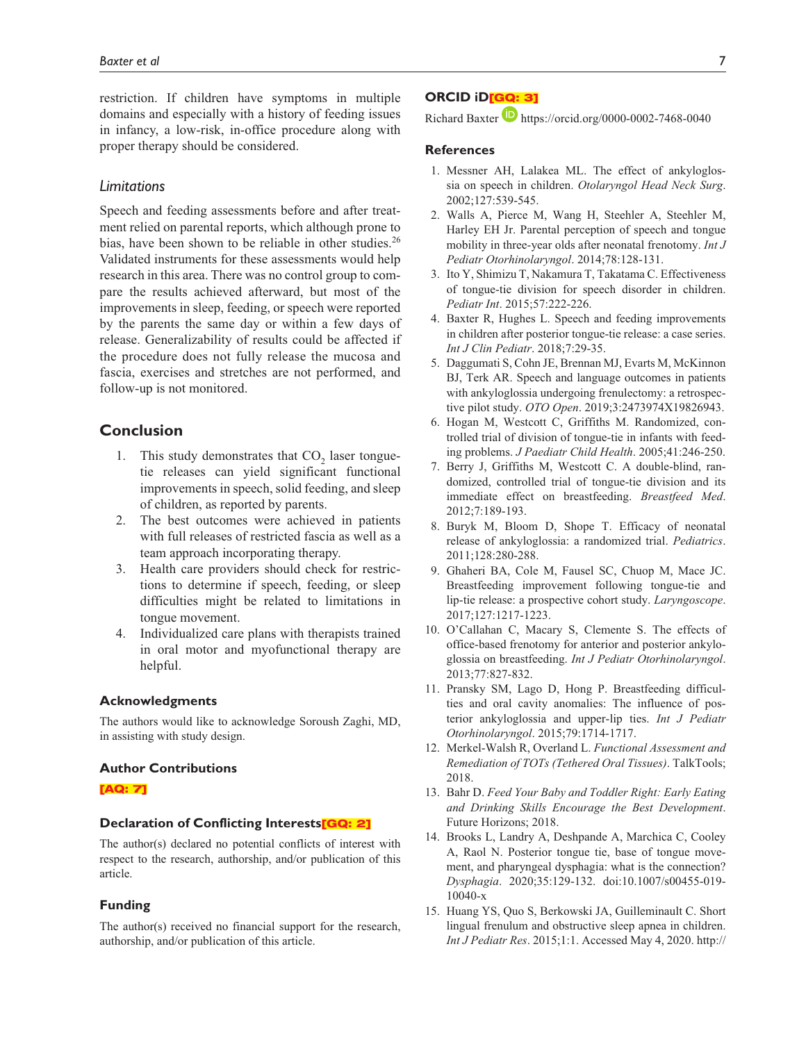restriction. If children have symptoms in multiple domains and especially with a history of feeding issues in infancy, a low-risk, in-office procedure along with proper therapy should be considered.

## *Limitations*

Speech and feeding assessments before and after treatment relied on parental reports, which although prone to bias, have been shown to be reliable in other studies.<sup>26</sup> Validated instruments for these assessments would help research in this area. There was no control group to compare the results achieved afterward, but most of the improvements in sleep, feeding, or speech were reported by the parents the same day or within a few days of release. Generalizability of results could be affected if the procedure does not fully release the mucosa and fascia, exercises and stretches are not performed, and follow-up is not monitored.

# **Conclusion**

- 1. This study demonstrates that  $CO<sub>2</sub>$  laser tonguetie releases can yield significant functional improvements in speech, solid feeding, and sleep of children, as reported by parents.
- 2. The best outcomes were achieved in patients with full releases of restricted fascia as well as a team approach incorporating therapy.
- 3. Health care providers should check for restrictions to determine if speech, feeding, or sleep difficulties might be related to limitations in tongue movement.
- 4. Individualized care plans with therapists trained in oral motor and myofunctional therapy are helpful.

## **Acknowledgments**

The authors would like to acknowledge Soroush Zaghi, MD, in assisting with study design.

#### **Author Contributions**

#### [AQ: 7]

## **Declaration of Conflicting Interests**[GQ: 2]

The author(s) declared no potential conflicts of interest with respect to the research, authorship, and/or publication of this article.

#### **Funding**

The author(s) received no financial support for the research, authorship, and/or publication of this article.

# **ORCID iD**[GQ: 3]

Richard Baxter **https://orcid.org/0000-0002-7468-0040** 

# **References**

- 1. Messner AH, Lalakea ML. The effect of ankyloglossia on speech in children. *Otolaryngol Head Neck Surg*. 2002;127:539-545.
- 2. Walls A, Pierce M, Wang H, Steehler A, Steehler M, Harley EH Jr. Parental perception of speech and tongue mobility in three-year olds after neonatal frenotomy. *Int J Pediatr Otorhinolaryngol*. 2014;78:128-131.
- 3. Ito Y, Shimizu T, Nakamura T, Takatama C. Effectiveness of tongue-tie division for speech disorder in children. *Pediatr Int*. 2015;57:222-226.
- 4. Baxter R, Hughes L. Speech and feeding improvements in children after posterior tongue-tie release: a case series. *Int J Clin Pediatr*. 2018;7:29-35.
- 5. Daggumati S, Cohn JE, Brennan MJ, Evarts M, McKinnon BJ, Terk AR. Speech and language outcomes in patients with ankyloglossia undergoing frenulectomy: a retrospective pilot study. *OTO Open*. 2019;3:2473974X19826943.
- 6. Hogan M, Westcott C, Griffiths M. Randomized, controlled trial of division of tongue-tie in infants with feeding problems. *J Paediatr Child Health*. 2005;41:246-250.
- 7. Berry J, Griffiths M, Westcott C. A double-blind, randomized, controlled trial of tongue-tie division and its immediate effect on breastfeeding. *Breastfeed Med*. 2012;7:189-193.
- 8. Buryk M, Bloom D, Shope T. Efficacy of neonatal release of ankyloglossia: a randomized trial. *Pediatrics*. 2011;128:280-288.
- 9. Ghaheri BA, Cole M, Fausel SC, Chuop M, Mace JC. Breastfeeding improvement following tongue-tie and lip-tie release: a prospective cohort study. *Laryngoscope*. 2017;127:1217-1223.
- 10. O'Callahan C, Macary S, Clemente S. The effects of office-based frenotomy for anterior and posterior ankyloglossia on breastfeeding. *Int J Pediatr Otorhinolaryngol*. 2013;77:827-832.
- 11. Pransky SM, Lago D, Hong P. Breastfeeding difficulties and oral cavity anomalies: The influence of posterior ankyloglossia and upper-lip ties. *Int J Pediatr Otorhinolaryngol*. 2015;79:1714-1717.
- 12. Merkel-Walsh R, Overland L. *Functional Assessment and Remediation of TOTs (Tethered Oral Tissues)*. TalkTools; 2018.
- 13. Bahr D. *Feed Your Baby and Toddler Right: Early Eating and Drinking Skills Encourage the Best Development*. Future Horizons; 2018.
- 14. Brooks L, Landry A, Deshpande A, Marchica C, Cooley A, Raol N. Posterior tongue tie, base of tongue movement, and pharyngeal dysphagia: what is the connection? *Dysphagia*. 2020;35:129-132. doi:10.1007/s00455-019- 10040-x
- 15. Huang YS, Quo S, Berkowski JA, Guilleminault C. Short lingual frenulum and obstructive sleep apnea in children. *Int J Pediatr Res*. 2015;1:1. Accessed May 4, 2020. http://